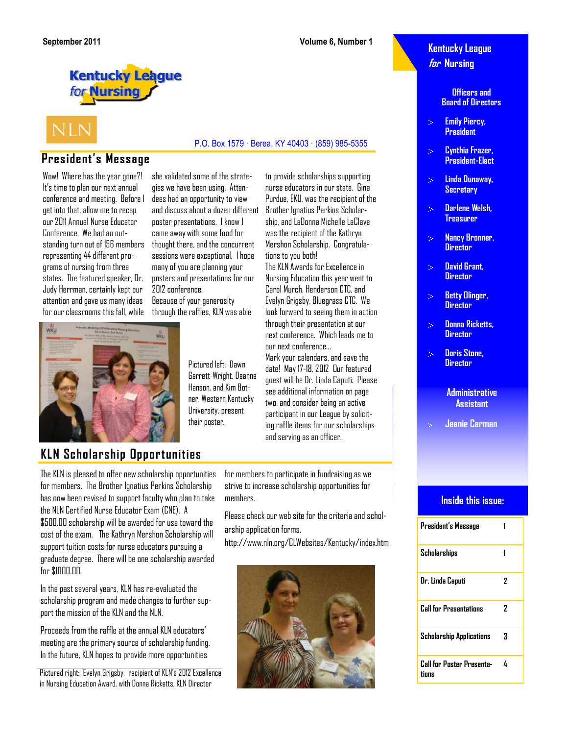to provide scholarships supporting nurse educators in our state. Gina Purdue, EKU, was the recipient of the Brother Ignatius Perkins Scholarship, and LaDonna Michelle LaClave was the recipient of the Kathryn Mershon Scholarship. Congratula-

The KLN Awards for Excellence in Nursing Education this year went to Carol Murch, Henderson CTC, and Evelyn Grigsby, Bluegrass CTC. We look forward to seeing them in action through their presentation at our next conference. Which leads me to

tions to you both!

P.O. Box 1579 · Berea, KY 40403 · (859) 985-5355

our next conference…

### **Kentucky League for Nursing**

**Officers and Board of Directors**

- **Emily Piercy, President**
- **Cynthia Frazer, President-Elect**
- **Linda Dunaway, Secretary**
- **Darlene Welsh, Treasurer**
- **Nancy Bronner,**   $\mathbb{R}^2$ **Director**
- **David Grant,**  $\sim$ **Director**
- **Betty Olinger, Director**
- **Donna Ricketts, Director**
- **Doris Stone, Director**

**Administrative Assistant**

**Jeanie Carman**

### **Inside this issue:**

| President's Message                       |   |
|-------------------------------------------|---|
| Scholarships                              |   |
| Dr. Linda Caputi                          | 7 |
| Call for Presentations                    | 7 |
| Scholarship Applications                  | 3 |
| <b>Call for Poster Presenta-</b><br>tions | 4 |

## **Kentucky League** for **Nursing**

# **NLN**

### **President's Message**

Wow! Where has the year gone?! It's time to plan our next annual conference and meeting. Before I get into that, allow me to recap our 2011 Annual Nurse Educator Conference. We had an outstanding turn out of 156 members representing 44 different programs of nursing from three states. The featured speaker, Dr. Judy Herrman, certainly kept our attention and gave us many ideas for our classrooms this fall, while

she validated some of the strategies we have been using. Attendees had an opportunity to view and discuss about a dozen different poster presentations. I know I came away with some food for thought there, and the concurrent sessions were exceptional. I hope many of you are planning your posters and presentations for our 2012 conference. Because of your generosity

through the raffles, KLN was able



for \$1000.00.

The KLN is pleased to offer new scholarship opportunities for members. The Brother Ignatius Perkins Scholarship has now been revised to support faculty who plan to take the NLN Certified Nurse Educator Exam (CNE). A \$500.00 scholarship will be awarded for use toward the cost of the exam. The Kathryn Mershon Scholarship will support tuition costs for nurse educators pursuing a graduate degree. There will be one scholarship awarded

**KLN Scholarship Opportunities**

In the past several years, KLN has re-evaluated the scholarship program and made changes to further sup-

Proceeds from the raffle at the annual KLN educators' meeting are the primary source of scholarship funding. In the future, KLN hopes to provide more opportunities

Pictured right: Evelyn Grigsby, recipient of KLN's 2012 Excellence in Nursing Education Award, with Donna Ricketts, KLN Director

port the mission of the KLN and the NLN.

Pictured left: Dawn Garrett-Wright, Deanna Hanson, and Kim Botner, Western Kentucky University, present their poster.

Mark your calendars, and save the date! May 17-18, 2012 Our featured guest will be Dr. Linda Caputi. Please see additional information on page two, and consider being an active participant in our League by soliciting raffle items for our scholarships and serving as an officer.

> for members to participate in fundraising as we strive to increase scholarship opportunities for members.

Please check our web site for the criteria and scholarship application forms.

http://www.nln.org/CLWebsites/Kentucky/index.htm

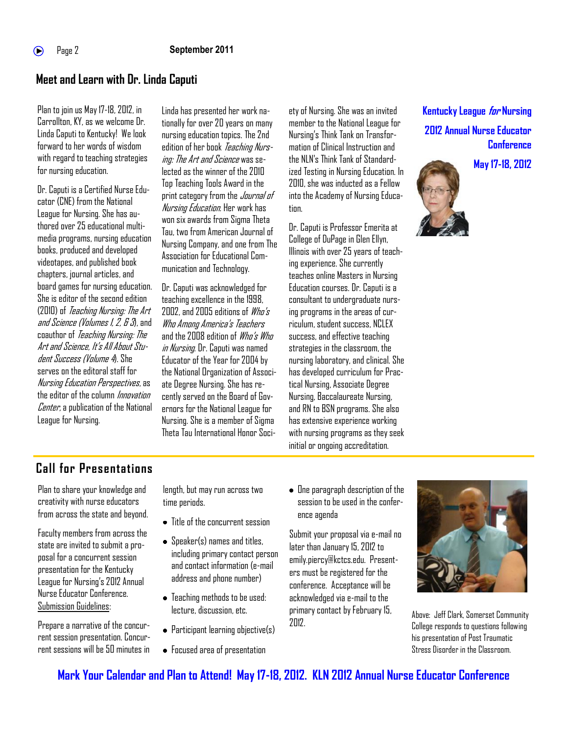## **Meet and Learn with Dr. Linda Caputi**

Plan to join us May 17-18, 2012, in Carrollton, KY, as we welcome Dr. Linda Caputi to Kentucky! We look forward to her words of wisdom with regard to teaching strategies for nursing education.

Dr. Caputi is a Certified Nurse Educator (CNE) from the National League for Nursing. She has authored over 25 educational multimedia programs, nursing education books, produced and developed videotapes, and published book chapters, journal articles, and board games for nursing education. She is editor of the second edition (2010) of *Teaching Nursing: The Art* and Science (Volumes 1, 2, & 3), and coauthor of *Teaching Nursing: The* Art and Science, It's All About Student Success (Valume 4). She serves on the editoral staff for Nursing Education Perspectives, as the editor of the column *Innovation* Center, a publication of the National League for Nursing.

Linda has presented her work nationally for over20 years on many nursing education topics. The 2nd edition of her book *Teaching Nurs*ing: The Art and Science was selected as the winner of the 2010 Top Teaching Tools Award in the print category from the *Journal of* Nursing Education. Her work has won six awards from Sigma Theta Tau, two from American Journal of Nursing Company, and one from The Association for Educational Communication and Technology.

Dr. Caputi was acknowledged for teaching excellence in the 1998, 2002, and 2005 editions of Who's Who Among America's Teachers and the 2008 edition of *Who's Who* in Nursing. Dr. Caputi was named Educator of the Year for 2004 by the National Organization of Associate Degree Nursing. She has recently served on the Board of Governors for the National League for Nursing. She is a member of Sigma Theta Tau International Honor Soci-

ety of Nursing. She was an invited member to the National League for Nursing's Think Tank on Transformation of Clinical Instruction and the NLN's Think Tank of Standardized Testing in Nursing Education. In 2010, she was inducted as a Fellow into the Academy of Nursing Educatinn

Dr. Caputi is Professor Emerita at College of DuPage in Glen Ellyn, Illinois with over 25 years of teaching experience. She currently teaches online Masters in Nursing Education courses. Dr. Caputi is a consultant to undergraduate nursing programs in the areas of curriculum, student success, NCLEX success, and effective teaching strategies in the classroom, the nursing laboratory, and clinical. She has developed curriculum for Practical Nursing, Associate Degree Nursing, Baccalaureate Nursing, and RN to BSN programs. She also has extensive experience working with nursing programs as they seek initial or ongoing accreditation.

## **Kentucky League for Nursing 2012 Annual Nurse Educator Conference**

**May 17-18, 2012**



**Call for Presentations**

Plan to share your knowledge and creativity with nurse educators from across the state and beyond.

Faculty members from across the state are invited to submit a proposal for a concurrent session presentation for the Kentucky League for Nursing's 2012 Annual Nurse Educator Conference. Submission Guidelines:

Prepare a narrative of the concurrent session presentation. Concurrent sessions will be 50 minutes in length, but may run across two time periods.

- Title of the concurrent session
- Speaker(s) names and titles, including primary contact person and contact information (e-mail address and phone number)
- Teaching methods to be used: lecture, discussion, etc.
- Participant learning objective(s)
- Focused area of presentation

One paragraph description of the session to be used in the conference agenda

Submit your proposal via e-mail no later than January 15, 2012 to emily.piercy@kctcs.edu. Presenters must be registered for the conference. Acceptance will be acknowledged via e-mail to the primary contact by February 15, 2012.



Above: Jeff Clark, Somerset Community College responds to questions following his presentation of Post Traumatic Stress Disorder in the Classroom.

**Mark Your Calendar and Plan to Attend! May 17-18, 2012. KLN 2012 Annual Nurse Educator Conference**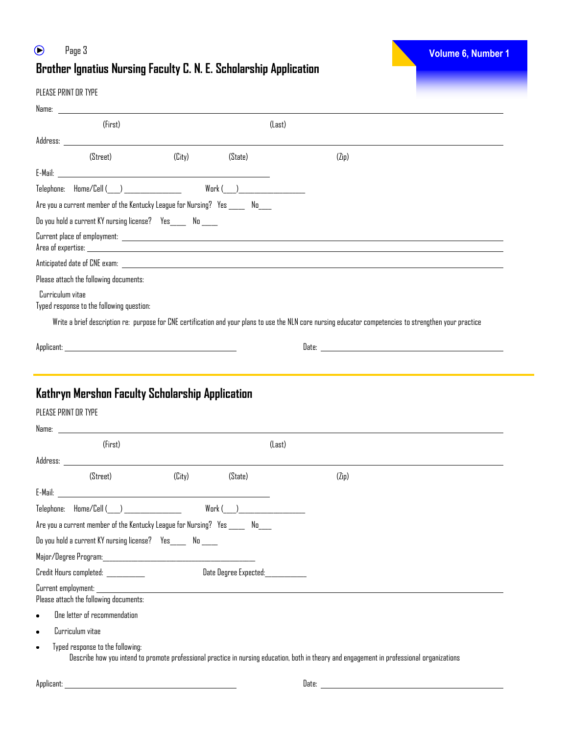#### $\odot$ Page 3 **Volume 6, Number 1 Brother Ignatius Nursing Faculty C. N. E. Scholarship Application**

#### PLEASE PRINT OR TYPE

|                      | (First)                                                                                                                                                                                                                        |        |                                  | (Last) |                                                                                                                                                          |  |  |  |
|----------------------|--------------------------------------------------------------------------------------------------------------------------------------------------------------------------------------------------------------------------------|--------|----------------------------------|--------|----------------------------------------------------------------------------------------------------------------------------------------------------------|--|--|--|
|                      |                                                                                                                                                                                                                                |        |                                  |        |                                                                                                                                                          |  |  |  |
|                      | (Street)                                                                                                                                                                                                                       | (Lity) | (State)                          |        | (Zip)                                                                                                                                                    |  |  |  |
|                      |                                                                                                                                                                                                                                |        |                                  |        |                                                                                                                                                          |  |  |  |
|                      | Telephone: Home/Cell ( )                                                                                                                                                                                                       |        | Work ( <u>) ________________</u> |        |                                                                                                                                                          |  |  |  |
|                      | Are you a current member of the Kentucky League for Nursing? Yes ______ No____                                                                                                                                                 |        |                                  |        |                                                                                                                                                          |  |  |  |
|                      |                                                                                                                                                                                                                                |        |                                  |        |                                                                                                                                                          |  |  |  |
|                      |                                                                                                                                                                                                                                |        |                                  |        |                                                                                                                                                          |  |  |  |
|                      |                                                                                                                                                                                                                                |        |                                  |        |                                                                                                                                                          |  |  |  |
|                      | Please attach the following documents:                                                                                                                                                                                         |        |                                  |        |                                                                                                                                                          |  |  |  |
| Curriculum vitae     | Typed response to the following question:                                                                                                                                                                                      |        |                                  |        |                                                                                                                                                          |  |  |  |
|                      |                                                                                                                                                                                                                                |        |                                  |        | Write a brief description re: purpose for CNE certification and your plans to use the NLN core nursing educator competencies to strengthen your practice |  |  |  |
|                      |                                                                                                                                                                                                                                |        |                                  |        |                                                                                                                                                          |  |  |  |
|                      |                                                                                                                                                                                                                                |        |                                  |        |                                                                                                                                                          |  |  |  |
|                      | Kathryn Mershon Faculty Scholarship Application                                                                                                                                                                                |        |                                  |        |                                                                                                                                                          |  |  |  |
| PLEASE PRINT OR TYPE |                                                                                                                                                                                                                                |        |                                  |        |                                                                                                                                                          |  |  |  |
|                      |                                                                                                                                                                                                                                |        |                                  |        |                                                                                                                                                          |  |  |  |
|                      | (First)                                                                                                                                                                                                                        |        |                                  | (Last) |                                                                                                                                                          |  |  |  |
|                      | Address: the contract of the contract of the contract of the contract of the contract of the contract of the contract of the contract of the contract of the contract of the contract of the contract of the contract of the c |        |                                  |        |                                                                                                                                                          |  |  |  |
|                      | (Street)                                                                                                                                                                                                                       | (Lity) | (State)                          |        | (Zip)                                                                                                                                                    |  |  |  |
|                      | E-Mail: The contract of the contract of the contract of the contract of the contract of the contract of the contract of the contract of the contract of the contract of the contract of the contract of the contract of the co |        |                                  |        |                                                                                                                                                          |  |  |  |
|                      | Telephone: Home/Cell ()<br>Work (                                                                                                                                                                                              |        |                                  |        |                                                                                                                                                          |  |  |  |

Do you hold a current KY nursing license? Yes\_\_\_\_\_ No \_\_\_\_\_ Major/Degree Program:\_\_\_\_\_\_\_\_\_\_\_\_\_\_\_\_\_\_\_\_\_\_\_\_\_\_\_\_\_\_\_\_\_\_\_\_\_\_\_\_\_\_\_\_\_\_\_\_

Credit Hours completed: \_\_\_\_\_\_\_\_\_\_\_\_\_\_\_\_\_\_\_\_\_\_\_\_\_\_\_Date Degree Expected:\_\_\_\_\_\_\_\_\_\_\_\_

Are you a current member of the Kentucky League for Nursing? Yes \_\_\_\_\_\_ No\_\_\_\_

Current employment:

Please attach the following documents:

- One letter of recommendation
- Curriculum vitae
- Typed response to the following:  $\bullet$ Describe how you intend to promote professional practice in nursing education, both in theory and engagement in professional organizations

Applicant: Date: